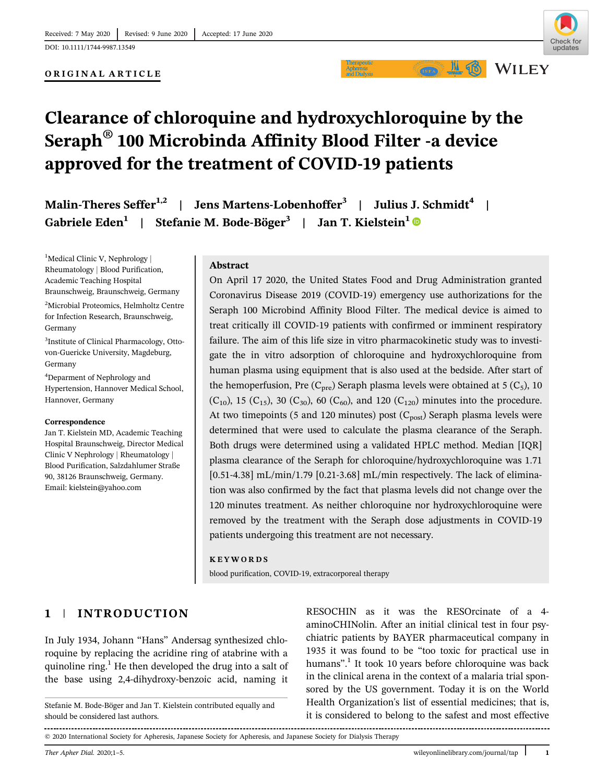ORIGINAL ARTICLE

 $M$  or



**WILEY** 

# Clearance of chloroquine and hydroxychloroquine by the Seraph® 100 Microbinda Affinity Blood Filter -a device approved for the treatment of COVID-19 patients

Malin-Theres Seffer<sup>1,2</sup> | Jens Martens-Lobenhoffer<sup>3</sup> | Julius J. Schmidt<sup>4</sup> | Gabriele Eden<sup>1</sup> | Stefanie M. Bode-Böger<sup>3</sup> | Jan T. Kielstein<sup>1</sup>

<sup>1</sup>Medical Clinic V, Nephrology | Rheumatology | Blood Purification, Academic Teaching Hospital Braunschweig, Braunschweig, Germany

2 Microbial Proteomics, Helmholtz Centre for Infection Research, Braunschweig, Germany

3 Institute of Clinical Pharmacology, Ottovon-Guericke University, Magdeburg, Germany

4 Deparment of Nephrology and Hypertension, Hannover Medical School, Hannover, Germany

#### Correspondence

Jan T. Kielstein MD, Academic Teaching Hospital Braunschweig, Director Medical Clinic V Nephrology | Rheumatology Blood Purification, Salzdahlumer Straße 90, 38126 Braunschweig, Germany. Email: [kielstein@yahoo.com](mailto:kielstein@yahoo.com)

#### Abstract

On April 17 2020, the United States Food and Drug Administration granted Coronavirus Disease 2019 (COVID-19) emergency use authorizations for the Seraph 100 Microbind Affinity Blood Filter. The medical device is aimed to treat critically ill COVID-19 patients with confirmed or imminent respiratory failure. The aim of this life size in vitro pharmacokinetic study was to investigate the in vitro adsorption of chloroquine and hydroxychloroquine from human plasma using equipment that is also used at the bedside. After start of the hemoperfusion, Pre  $(C_{pre})$  Seraph plasma levels were obtained at 5  $(C_5)$ , 10 (C<sub>10</sub>), 15 (C<sub>15</sub>), 30 (C<sub>30</sub>), 60 (C<sub>60</sub>), and 120 (C<sub>120</sub>) minutes into the procedure. At two timepoints (5 and 120 minutes) post  $(C_{post})$  Seraph plasma levels were determined that were used to calculate the plasma clearance of the Seraph. Both drugs were determined using a validated HPLC method. Median [IQR] plasma clearance of the Seraph for chloroquine/hydroxychloroquine was 1.71 [0.51-4.38] mL/min/1.79 [0.21-3.68] mL/min respectively. The lack of elimination was also confirmed by the fact that plasma levels did not change over the 120 minutes treatment. As neither chloroquine nor hydroxychloroquine were removed by the treatment with the Seraph dose adjustments in COVID-19 patients undergoing this treatment are not necessary.

#### KEYWORDS

blood purification, COVID-19, extracorporeal therapy

# 1 | INTRODUCTION

In July 1934, Johann "Hans" Andersag synthesized chloroquine by replacing the acridine ring of atabrine with a quinoline ring. $<sup>1</sup>$  He then developed the drug into a salt of</sup> the base using 2,4-dihydroxy-benzoic acid, naming it RESOCHIN as it was the RESOrcinate of a 4 aminoCHINolin. After an initial clinical test in four psychiatric patients by BAYER pharmaceutical company in 1935 it was found to be "too toxic for practical use in humans". <sup>1</sup> It took 10 years before chloroquine was back in the clinical arena in the context of a malaria trial sponsored by the US government. Today it is on the World Health Organization's list of essential medicines; that is, it is considered to belong to the safest and most effective

© 2020 International Society for Apheresis, Japanese Society for Apheresis, and Japanese Society for Dialysis Therapy

Stefanie M. Bode-Böger and Jan T. Kielstein contributed equally and should be considered last authors.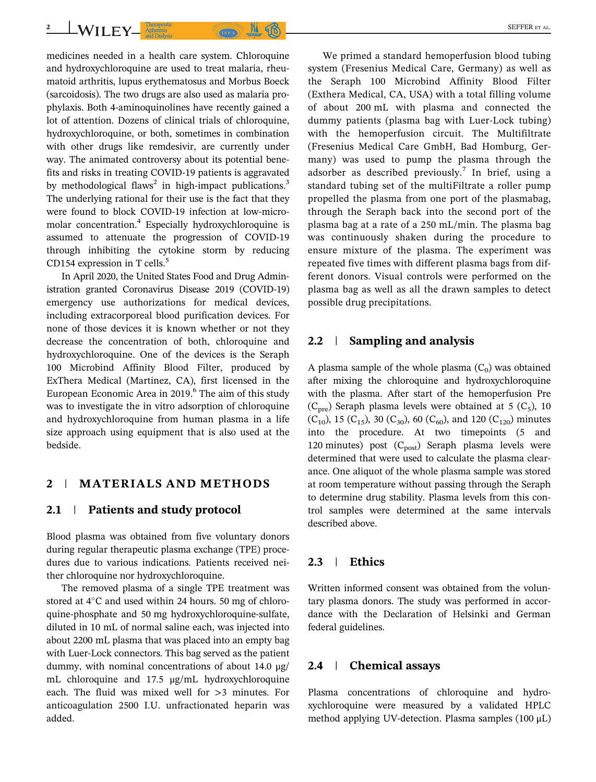medicines needed in a health care system. Chloroquine and hydroxychloroquine are used to treat malaria, rheumatoid arthritis, lupus erythematosus and Morbus Boeck (sarcoidosis). The two drugs are also used as malaria prophylaxis. Both 4-aminoquinolines have recently gained a lot of attention. Dozens of clinical trials of chloroquine, hydroxychloroquine, or both, sometimes in combination with other drugs like remdesivir, are currently under way. The animated controversy about its potential benefits and risks in treating COVID-19 patients is aggravated by methodological flaws<sup>2</sup> in high-impact publications.<sup>3</sup> The underlying rational for their use is the fact that they were found to block COVID-19 infection at low-micromolar concentration.4 Especially hydroxychloroquine is assumed to attenuate the progression of COVID-19 through inhibiting the cytokine storm by reducing 2 WILEY Appenses (CREAD ) (B)

CD154 expression in T cells. $5$ 

In April 2020, the United States Food and Drug Administration granted Coronavirus Disease 2019 (COVID-19) emergency use authorizations for medical devices, including extracorporeal blood purification devices. For none of those devices it is known whether or not they decrease the concentration of both, chloroquine and hydroxychloroquine. One of the devices is the Seraph 100 Microbind Affinity Blood Filter, produced by ExThera Medical (Martinez, CA), first licensed in the European Economic Area in 2019.<sup>6</sup> The aim of this study was to investigate the in vitro adsorption of chloroquine and hydroxychloroquine from human plasma in a life size approach using equipment that is also used at the bedside.

## 2 | MATERIALS AND METHODS

### 2.1 | Patients and study protocol

Blood plasma was obtained from five voluntary donors during regular therapeutic plasma exchange (TPE) procedures due to various indications. Patients received neither chloroquine nor hydroxychloroquine.

The removed plasma of a single TPE treatment was stored at  $4^{\circ}$ C and used within 24 hours. 50 mg of chloroquine-phosphate and 50 mg hydroxychloroquine-sulfate, diluted in 10 mL of normal saline each, was injected into about 2200 mL plasma that was placed into an empty bag with Luer-Lock connectors. This bag served as the patient dummy, with nominal concentrations of about 14.0 μg/ mL chloroquine and 17.5 μg/mL hydroxychloroquine each. The fluid was mixed well for >3 minutes. For anticoagulation 2500 I.U. unfractionated heparin was added.

We primed a standard hemoperfusion blood tubing system (Fresenius Medical Care, Germany) as well as the Seraph 100 Microbind Affinity Blood Filter (Exthera Medical, CA, USA) with a total filling volume of about 200 mL with plasma and connected the dummy patients (plasma bag with Luer-Lock tubing) with the hemoperfusion circuit. The Multifiltrate (Fresenius Medical Care GmbH, Bad Homburg, Germany) was used to pump the plasma through the adsorber as described previously.<sup>7</sup> In brief, using a standard tubing set of the multiFiltrate a roller pump propelled the plasma from one port of the plasmabag, through the Seraph back into the second port of the plasma bag at a rate of a 250 mL/min. The plasma bag was continuously shaken during the procedure to ensure mixture of the plasma. The experiment was repeated five times with different plasma bags from different donors. Visual controls were performed on the plasma bag as well as all the drawn samples to detect possible drug precipitations.

#### 2.2 | Sampling and analysis

A plasma sample of the whole plasma  $(C_0)$  was obtained after mixing the chloroquine and hydroxychloroquine with the plasma. After start of the hemoperfusion Pre  $(C<sub>pre</sub>)$  Seraph plasma levels were obtained at 5  $(C<sub>5</sub>)$ , 10  $(C_{10})$ , 15  $(C_{15})$ , 30  $(C_{30})$ , 60  $(C_{60})$ , and 120  $(C_{120})$  minutes into the procedure. At two timepoints (5 and 120 minutes) post  $(C_{post})$  Seraph plasma levels were determined that were used to calculate the plasma clearance. One aliquot of the whole plasma sample was stored at room temperature without passing through the Seraph to determine drug stability. Plasma levels from this control samples were determined at the same intervals described above.

## 2.3 | Ethics

Written informed consent was obtained from the voluntary plasma donors. The study was performed in accordance with the Declaration of Helsinki and German federal guidelines.

### 2.4 | Chemical assays

Plasma concentrations of chloroquine and hydroxychloroquine were measured by a validated HPLC method applying UV-detection. Plasma samples (100 μL)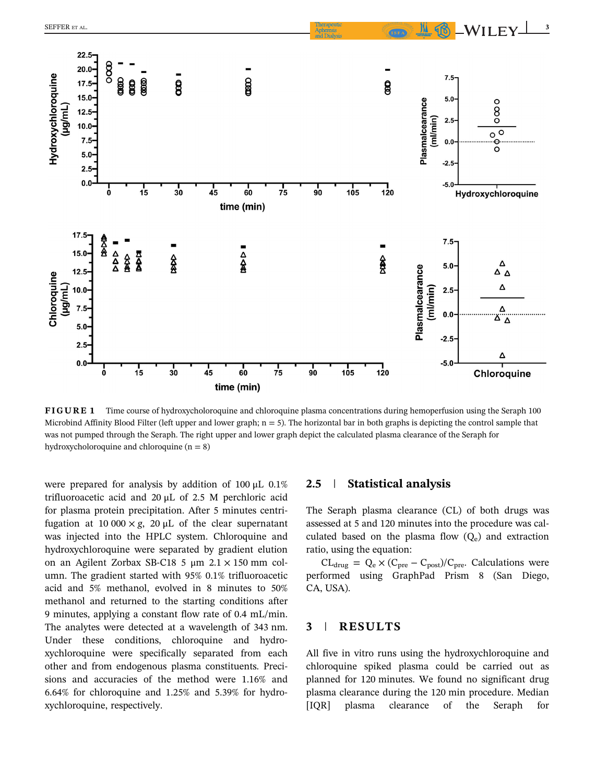

FIGURE 1 Time course of hydroxycholoroquine and chloroquine plasma concentrations during hemoperfusion using the Seraph 100 Microbind Affinity Blood Filter (left upper and lower graph;  $n = 5$ ). The horizontal bar in both graphs is depicting the control sample that was not pumped through the Seraph. The right upper and lower graph depict the calculated plasma clearance of the Seraph for hydroxycholoroquine and chloroquine  $(n = 8)$ 

were prepared for analysis by addition of 100 μL 0.1% trifluoroacetic acid and 20 μL of 2.5 M perchloric acid for plasma protein precipitation. After 5 minutes centrifugation at 10 000  $\times$  g, 20  $\mu$ L of the clear supernatant was injected into the HPLC system. Chloroquine and hydroxychloroquine were separated by gradient elution on an Agilent Zorbax SB-C18 5 μm 2.1 × 150 mm column. The gradient started with 95% 0.1% trifluoroacetic acid and 5% methanol, evolved in 8 minutes to 50% methanol and returned to the starting conditions after 9 minutes, applying a constant flow rate of 0.4 mL/min. The analytes were detected at a wavelength of 343 nm. Under these conditions, chloroquine and hydroxychloroquine were specifically separated from each other and from endogenous plasma constituents. Precisions and accuracies of the method were 1.16% and 6.64% for chloroquine and 1.25% and 5.39% for hydroxychloroquine, respectively.

#### 2.5 | Statistical analysis

The Seraph plasma clearance (CL) of both drugs was assessed at 5 and 120 minutes into the procedure was calculated based on the plasma flow  $(Q_e)$  and extraction ratio, using the equation:

 $CL_{drug} = Q_e \times (C_{pre} - C_{post})/C_{pre}$ . Calculations were performed using GraphPad Prism 8 (San Diego, CA, USA).

## 3 | RESULTS

All five in vitro runs using the hydroxychloroquine and chloroquine spiked plasma could be carried out as planned for 120 minutes. We found no significant drug plasma clearance during the 120 min procedure. Median [IQR] plasma clearance of the Seraph for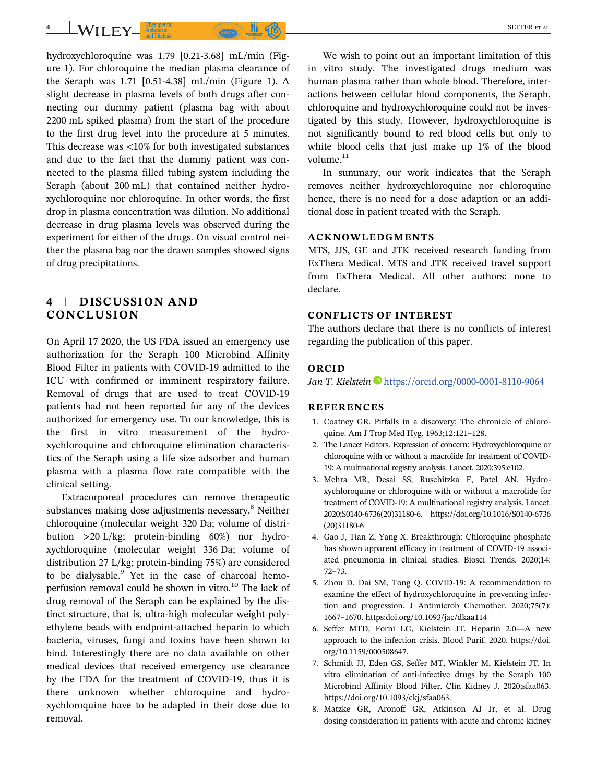hydroxychloroquine was 1.79 [0.21-3.68] mL/min (Figure 1). For chloroquine the median plasma clearance of the Seraph was 1.71 [0.51-4.38] mL/min (Figure 1). A slight decrease in plasma levels of both drugs after connecting our dummy patient (plasma bag with about 2200 mL spiked plasma) from the start of the procedure to the first drug level into the procedure at 5 minutes. This decrease was <10% for both investigated substances and due to the fact that the dummy patient was connected to the plasma filled tubing system including the Seraph (about 200 mL) that contained neither hydroxychloroquine nor chloroquine. In other words, the first drop in plasma concentration was dilution. No additional decrease in drug plasma levels was observed during the experiment for either of the drugs. On visual control neither the plasma bag nor the drawn samples showed signs of drug precipitations.

# 4 | DISCUSSION AND CONCLUSION

On April 17 2020, the US FDA issued an emergency use authorization for the Seraph 100 Microbind Affinity Blood Filter in patients with COVID-19 admitted to the ICU with confirmed or imminent respiratory failure. Removal of drugs that are used to treat COVID-19 patients had not been reported for any of the devices authorized for emergency use. To our knowledge, this is the first in vitro measurement of the hydroxychloroquine and chloroquine elimination characteristics of the Seraph using a life size adsorber and human plasma with a plasma flow rate compatible with the clinical setting.

Extracorporeal procedures can remove therapeutic substances making dose adjustments necessary.<sup>8</sup> Neither chloroquine (molecular weight 320 Da; volume of distribution >20 L/kg; protein-binding 60%) nor hydroxychloroquine (molecular weight 336 Da; volume of distribution 27 L/kg; protein-binding 75%) are considered to be dialysable.<sup>9</sup> Yet in the case of charcoal hemoperfusion removal could be shown in vitro.<sup>10</sup> The lack of drug removal of the Seraph can be explained by the distinct structure, that is, ultra-high molecular weight polyethylene beads with endpoint-attached heparin to which bacteria, viruses, fungi and toxins have been shown to bind. Interestingly there are no data available on other medical devices that received emergency use clearance by the FDA for the treatment of COVID-19, thus it is there unknown whether chloroquine and hydroxychloroquine have to be adapted in their dose due to removal.

We wish to point out an important limitation of this in vitro study. The investigated drugs medium was human plasma rather than whole blood. Therefore, interactions between cellular blood components, the Seraph, chloroquine and hydroxychloroquine could not be investigated by this study. However, hydroxychloroquine is not significantly bound to red blood cells but only to white blood cells that just make up 1% of the blood volume. $11$ 

In summary, our work indicates that the Seraph removes neither hydroxychloroquine nor chloroquine hence, there is no need for a dose adaption or an additional dose in patient treated with the Seraph.

## ACKNOWLEDGMENTS

MTS, JJS, GE and JTK received research funding from ExThera Medical. MTS and JTK received travel support from ExThera Medical. All other authors: none to declare.

#### CONFLICTS OF INTEREST

The authors declare that there is no conflicts of interest regarding the publication of this paper.

#### ORCID

Jan T. Kielstein <https://orcid.org/0000-0001-8110-9064>

### **REFERENCES**

- 1. Coatney GR. Pitfalls in a discovery: The chronicle of chloroquine. Am J Trop Med Hyg. 1963;12:121–128.
- 2. The Lancet Editors. Expression of concern: Hydroxychloroquine or chloroquine with or without a macrolide for treatment of COVID-19: A multinational registry analysis. Lancet. 2020;395:e102.
- 3. Mehra MR, Desai SS, Ruschitzka F, Patel AN. Hydroxychloroquine or chloroquine with or without a macrolide for treatment of COVID-19: A multinational registry analysis. Lancet. 2020;S0140-6736(20)31180-6. [https://doi.org/10.1016/S0140-6736](https://doi.org/10.1016/S0140-6736(20)31180-6) [\(20\)31180-6](https://doi.org/10.1016/S0140-6736(20)31180-6)
- 4. Gao J, Tian Z, Yang X. Breakthrough: Chloroquine phosphate has shown apparent efficacy in treatment of COVID-19 associated pneumonia in clinical studies. Biosci Trends. 2020;14: 72–73.
- 5. Zhou D, Dai SM, Tong Q. COVID-19: A recommendation to examine the effect of hydroxychloroquine in preventing infection and progression. J Antimicrob Chemother. 2020;75(7): 1667–1670.<https:doi.org/10.1093/jac/dkaa114>
- 6. Seffer MTD, Forni LG, Kielstein JT. Heparin 2.0—A new approach to the infection crisis. Blood Purif. 2020. [https://doi.](https://doi.org/10.1159/000508647) [org/10.1159/000508647](https://doi.org/10.1159/000508647).
- 7. Schmidt JJ, Eden GS, Seffer MT, Winkler M, Kielstein JT. In vitro elimination of anti-infective drugs by the Seraph 100 Microbind Affinity Blood Filter. Clin Kidney J. 2020;sfaa063. [https://doi.org/10.1093/ckj/sfaa063.](https://doi.org/10.1093/ckj/sfaa063)
- 8. Matzke GR, Aronoff GR, Atkinson AJ Jr, et al. Drug dosing consideration in patients with acute and chronic kidney